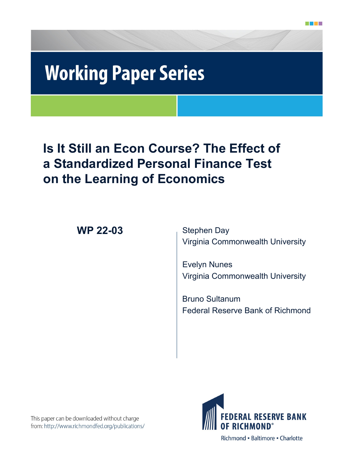# **Working Paper Series**

# **Is It Still an Econ Course? The Effect of a Standardized Personal Finance Test on the Learning of Economics**

**WP 22-03** Stephen Day

Virginia Commonwealth University

Evelyn Nunes Virginia Commonwealth University

Bruno Sultanum Federal Reserve Bank of Richmond

This paper can be downloaded without charge from: http://www.richmondfed.org/publications/



Richmond · Baltimore · Charlotte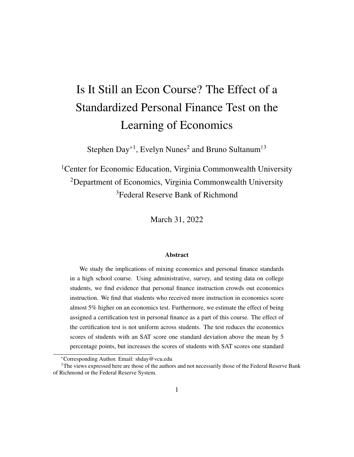# Is It Still an Econ Course? The Effect of a Standardized Personal Finance Test on the Learning of Economics

Stephen Day<sup>∗1</sup>, Evelyn Nunes<sup>2</sup> and Bruno Sultanum<sup>†3</sup>

<sup>1</sup>Center for Economic Education, Virginia Commonwealth University <sup>2</sup>Department of Economics, Virginia Commonwealth University <sup>3</sup>Federal Reserve Bank of Richmond

March 31, 2022

#### **Abstract**

We study the implications of mixing economics and personal finance standards in a high school course. Using administrative, survey, and testing data on college students, we find evidence that personal finance instruction crowds out economics instruction. We find that students who received more instruction in economics score almost 5% higher on an economics test. Furthermore, we estimate the effect of being assigned a certification test in personal finance as a part of this course. The effect of the certification test is not uniform across students. The test reduces the economics scores of students with an SAT score one standard deviation above the mean by 5 percentage points, but increases the scores of students with SAT scores one standard

<sup>∗</sup>Corresponding Author. Email: shday@vcu.edu

<sup>&</sup>lt;sup> $\dagger$ </sup>The views expressed here are those of the authors and not necessarily those of the Federal Reserve Bank of Richmond or the Federal Reserve System.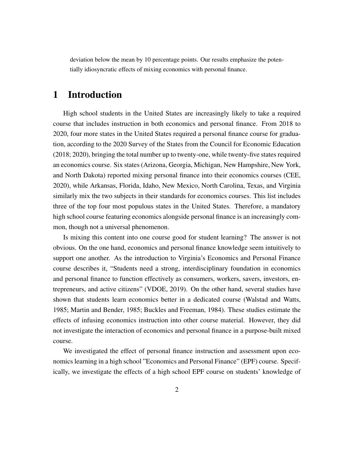deviation below the mean by 10 percentage points. Our results emphasize the potentially idiosyncratic effects of mixing economics with personal finance.

# 1 Introduction

High school students in the United States are increasingly likely to take a required course that includes instruction in both economics and personal finance. From 2018 to 2020, four more states in the United States required a personal finance course for graduation, according to the 2020 Survey of the States from the Council for Economic Education (2018; 2020), bringing the total number up to twenty-one, while twenty-five states required an economics course. Six states (Arizona, Georgia, Michigan, New Hampshire, New York, and North Dakota) reported mixing personal finance into their economics courses (CEE, 2020), while Arkansas, Florida, Idaho, New Mexico, North Carolina, Texas, and Virginia similarly mix the two subjects in their standards for economics courses. This list includes three of the top four most populous states in the United States. Therefore, a mandatory high school course featuring economics alongside personal finance is an increasingly common, though not a universal phenomenon.

Is mixing this content into one course good for student learning? The answer is not obvious. On the one hand, economics and personal finance knowledge seem intuitively to support one another. As the introduction to Virginia's Economics and Personal Finance course describes it, "Students need a strong, interdisciplinary foundation in economics and personal finance to function effectively as consumers, workers, savers, investors, entrepreneurs, and active citizens" (VDOE, 2019). On the other hand, several studies have shown that students learn economics better in a dedicated course (Walstad and Watts, 1985; Martin and Bender, 1985; Buckles and Freeman, 1984). These studies estimate the effects of infusing economics instruction into other course material. However, they did not investigate the interaction of economics and personal finance in a purpose-built mixed course.

We investigated the effect of personal finance instruction and assessment upon economics learning in a high school "Economics and Personal Finance" (EPF) course. Specifically, we investigate the effects of a high school EPF course on students' knowledge of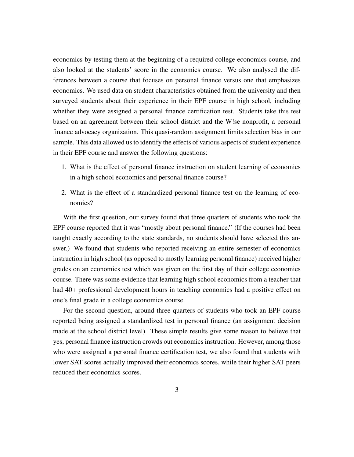economics by testing them at the beginning of a required college economics course, and also looked at the students' score in the economics course. We also analysed the differences between a course that focuses on personal finance versus one that emphasizes economics. We used data on student characteristics obtained from the university and then surveyed students about their experience in their EPF course in high school, including whether they were assigned a personal finance certification test. Students take this test based on an agreement between their school district and the W!se nonprofit, a personal finance advocacy organization. This quasi-random assignment limits selection bias in our sample. This data allowed us to identify the effects of various aspects of student experience in their EPF course and answer the following questions:

- 1. What is the effect of personal finance instruction on student learning of economics in a high school economics and personal finance course?
- 2. What is the effect of a standardized personal finance test on the learning of economics?

With the first question, our survey found that three quarters of students who took the EPF course reported that it was "mostly about personal finance." (If the courses had been taught exactly according to the state standards, no students should have selected this answer.) We found that students who reported receiving an entire semester of economics instruction in high school (as opposed to mostly learning personal finance) received higher grades on an economics test which was given on the first day of their college economics course. There was some evidence that learning high school economics from a teacher that had 40+ professional development hours in teaching economics had a positive effect on one's final grade in a college economics course.

For the second question, around three quarters of students who took an EPF course reported being assigned a standardized test in personal finance (an assignment decision made at the school district level). These simple results give some reason to believe that yes, personal finance instruction crowds out economics instruction. However, among those who were assigned a personal finance certification test, we also found that students with lower SAT scores actually improved their economics scores, while their higher SAT peers reduced their economics scores.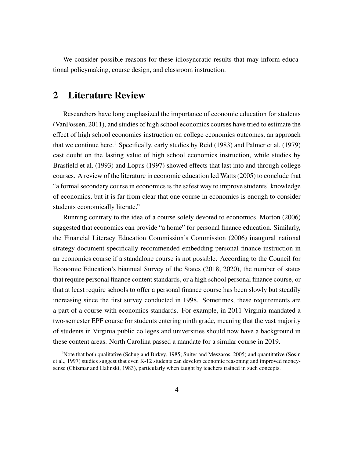We consider possible reasons for these idiosyncratic results that may inform educational policymaking, course design, and classroom instruction.

### 2 Literature Review

Researchers have long emphasized the importance of economic education for students (VanFossen, 2011), and studies of high school economics courses have tried to estimate the effect of high school economics instruction on college economics outcomes, an approach that we continue here.<sup>1</sup> Specifically, early studies by Reid (1983) and Palmer et al. (1979) cast doubt on the lasting value of high school economics instruction, while studies by Brasfield et al. (1993) and Lopus (1997) showed effects that last into and through college courses. A review of the literature in economic education led Watts (2005) to conclude that "a formal secondary course in economics is the safest way to improve students' knowledge of economics, but it is far from clear that one course in economics is enough to consider students economically literate."

Running contrary to the idea of a course solely devoted to economics, Morton (2006) suggested that economics can provide "a home" for personal finance education. Similarly, the Financial Literacy Education Commission's Commission (2006) inaugural national strategy document specifically recommended embedding personal finance instruction in an economics course if a standalone course is not possible. According to the Council for Economic Education's biannual Survey of the States (2018; 2020), the number of states that require personal finance content standards, or a high school personal finance course, or that at least require schools to offer a personal finance course has been slowly but steadily increasing since the first survey conducted in 1998. Sometimes, these requirements are a part of a course with economics standards. For example, in 2011 Virginia mandated a two-semester EPF course for students entering ninth grade, meaning that the vast majority of students in Virginia public colleges and universities should now have a background in these content areas. North Carolina passed a mandate for a similar course in 2019.

<sup>&</sup>lt;sup>1</sup>Note that both qualitative (Schug and Birkey, 1985; Suiter and Meszaros, 2005) and quantitative (Sosin et al., 1997) studies suggest that even K-12 students can develop economic reasoning and improved moneysense (Chizmar and Halinski, 1983), particularly when taught by teachers trained in such concepts.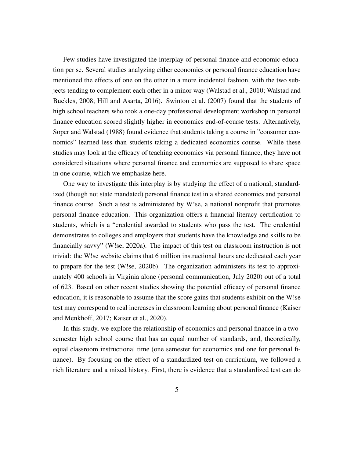Few studies have investigated the interplay of personal finance and economic education per se. Several studies analyzing either economics or personal finance education have mentioned the effects of one on the other in a more incidental fashion, with the two subjects tending to complement each other in a minor way (Walstad et al., 2010; Walstad and Buckles, 2008; Hill and Asarta, 2016). Swinton et al. (2007) found that the students of high school teachers who took a one-day professional development workshop in personal finance education scored slightly higher in economics end-of-course tests. Alternatively, Soper and Walstad (1988) found evidence that students taking a course in "consumer economics" learned less than students taking a dedicated economics course. While these studies may look at the efficacy of teaching economics via personal finance, they have not considered situations where personal finance and economics are supposed to share space in one course, which we emphasize here.

One way to investigate this interplay is by studying the effect of a national, standardized (though not state mandated) personal finance test in a shared economics and personal finance course. Such a test is administered by W!se, a national nonprofit that promotes personal finance education. This organization offers a financial literacy certification to students, which is a "credential awarded to students who pass the test. The credential demonstrates to colleges and employers that students have the knowledge and skills to be financially savvy" (W!se, 2020a). The impact of this test on classroom instruction is not trivial: the W!se website claims that 6 million instructional hours are dedicated each year to prepare for the test (W!se, 2020b). The organization administers its test to approximately 400 schools in Virginia alone (personal communication, July 2020) out of a total of 623. Based on other recent studies showing the potential efficacy of personal finance education, it is reasonable to assume that the score gains that students exhibit on the W!se test may correspond to real increases in classroom learning about personal finance (Kaiser and Menkhoff, 2017; Kaiser et al., 2020).

In this study, we explore the relationship of economics and personal finance in a twosemester high school course that has an equal number of standards, and, theoretically, equal classroom instructional time (one semester for economics and one for personal finance). By focusing on the effect of a standardized test on curriculum, we followed a rich literature and a mixed history. First, there is evidence that a standardized test can do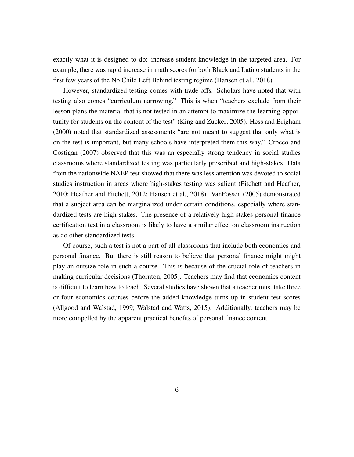exactly what it is designed to do: increase student knowledge in the targeted area. For example, there was rapid increase in math scores for both Black and Latino students in the first few years of the No Child Left Behind testing regime (Hansen et al., 2018).

However, standardized testing comes with trade-offs. Scholars have noted that with testing also comes "curriculum narrowing." This is when "teachers exclude from their lesson plans the material that is not tested in an attempt to maximize the learning opportunity for students on the content of the test" (King and Zucker, 2005). Hess and Brigham (2000) noted that standardized assessments "are not meant to suggest that only what is on the test is important, but many schools have interpreted them this way." Crocco and Costigan (2007) observed that this was an especially strong tendency in social studies classrooms where standardized testing was particularly prescribed and high-stakes. Data from the nationwide NAEP test showed that there was less attention was devoted to social studies instruction in areas where high-stakes testing was salient (Fitchett and Heafner, 2010; Heafner and Fitchett, 2012; Hansen et al., 2018). VanFossen (2005) demonstrated that a subject area can be marginalized under certain conditions, especially where standardized tests are high-stakes. The presence of a relatively high-stakes personal finance certification test in a classroom is likely to have a similar effect on classroom instruction as do other standardized tests.

Of course, such a test is not a part of all classrooms that include both economics and personal finance. But there is still reason to believe that personal finance might might play an outsize role in such a course. This is because of the crucial role of teachers in making curricular decisions (Thornton, 2005). Teachers may find that economics content is difficult to learn how to teach. Several studies have shown that a teacher must take three or four economics courses before the added knowledge turns up in student test scores (Allgood and Walstad, 1999; Walstad and Watts, 2015). Additionally, teachers may be more compelled by the apparent practical benefits of personal finance content.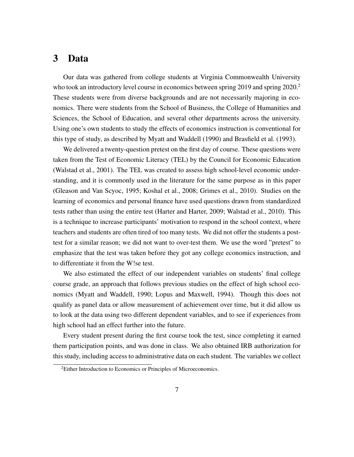# 3 Data

Our data was gathered from college students at Virginia Commonwealth University who took an introductory level course in economics between spring  $2019$  and spring  $2020$ .<sup>2</sup> These students were from diverse backgrounds and are not necessarily majoring in economics. There were students from the School of Business, the College of Humanities and Sciences, the School of Education, and several other departments across the university. Using one's own students to study the effects of economics instruction is conventional for this type of study, as described by Myatt and Waddell (1990) and Brasfield et al. (1993).

We delivered a twenty-question pretest on the first day of course. These questions were taken from the Test of Economic Literacy (TEL) by the Council for Economic Education (Walstad et al., 2001). The TEL was created to assess high school-level economic understanding, and it is commonly used in the literature for the same purpose as in this paper (Gleason and Van Scyoc, 1995; Koshal et al., 2008; Grimes et al., 2010). Studies on the learning of economics and personal finance have used questions drawn from standardized tests rather than using the entire test (Harter and Harter, 2009; Walstad et al., 2010). This is a technique to increase participants' motivation to respond in the school context, where teachers and students are often tired of too many tests. We did not offer the students a posttest for a similar reason; we did not want to over-test them. We use the word "pretest" to emphasize that the test was taken before they got any college economics instruction, and to differentiate it from the W!se test.

We also estimated the effect of our independent variables on students' final college course grade, an approach that follows previous studies on the effect of high school economics (Myatt and Waddell, 1990; Lopus and Maxwell, 1994). Though this does not qualify as panel data or allow measurement of achievement over time, but it did allow us to look at the data using two different dependent variables, and to see if experiences from high school had an effect further into the future.

Every student present during the first course took the test, since completing it earned them participation points, and was done in class. We also obtained IRB authorization for this study, including access to administrative data on each student. The variables we collect

 ${}^{2}$ Either Introduction to Economics or Principles of Microeconomics.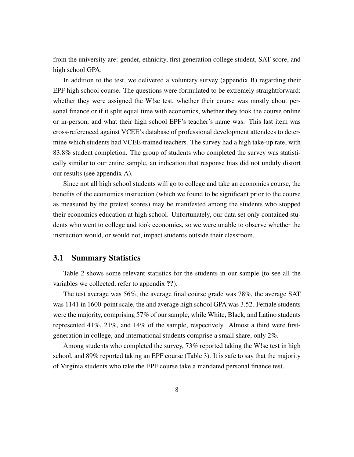from the university are: gender, ethnicity, first generation college student, SAT score, and high school GPA.

In addition to the test, we delivered a voluntary survey (appendix B) regarding their EPF high school course. The questions were formulated to be extremely straightforward: whether they were assigned the W!se test, whether their course was mostly about personal finance or if it split equal time with economics, whether they took the course online or in-person, and what their high school EPF's teacher's name was. This last item was cross-referenced against VCEE's database of professional development attendees to determine which students had VCEE-trained teachers. The survey had a high take-up rate, with 83.8% student completion. The group of students who completed the survey was statistically similar to our entire sample, an indication that response bias did not unduly distort our results (see appendix A).

Since not all high school students will go to college and take an economics course, the benefits of the economics instruction (which we found to be significant prior to the course as measured by the pretest scores) may be manifested among the students who stopped their economics education at high school. Unfortunately, our data set only contained students who went to college and took economics, so we were unable to observe whether the instruction would, or would not, impact students outside their classroom.

#### 3.1 Summary Statistics

Table 2 shows some relevant statistics for the students in our sample (to see all the variables we collected, refer to appendix ??).

The test average was 56%, the average final course grade was 78%, the average SAT was 1141 in 1600-point scale, the and average high school GPA was 3.52. Female students were the majority, comprising 57% of our sample, while White, Black, and Latino students represented 41%, 21%, and 14% of the sample, respectively. Almost a third were firstgeneration in college, and international students comprise a small share, only 2%.

Among students who completed the survey, 73% reported taking the W!se test in high school, and 89% reported taking an EPF course (Table 3). It is safe to say that the majority of Virginia students who take the EPF course take a mandated personal finance test.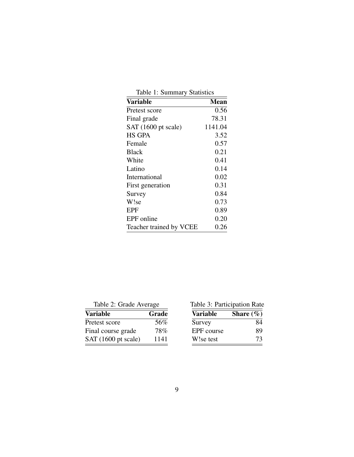|  | Table 1: Summary Statistics |  |
|--|-----------------------------|--|
|--|-----------------------------|--|

| <b>Variable</b>         | <b>Mean</b> |
|-------------------------|-------------|
| Pretest score           | 0.56        |
| Final grade             | 78.31       |
| SAT (1600 pt scale)     | 1141.04     |
| <b>HS GPA</b>           | 3.52        |
| Female                  | 0.57        |
| <b>Black</b>            | 0.21        |
| White                   | 0.41        |
| Latino                  | 0.14        |
| International           | 0.02        |
| First generation        | 0.31        |
| Survey                  | 0.84        |
| W!se                    | 0.73        |
| EPF                     | 0.89        |
| EPF online              | 0.20        |
| Teacher trained by VCEE | 0.26        |

Table 2: Grade Average

| <b>Variable</b>     | Grade |
|---------------------|-------|
| Pretest score       | 56%   |
| Final course grade  | 78%   |
| SAT (1600 pt scale) | 1141  |

|  | Table 3: Participation Rate |  |
|--|-----------------------------|--|
|--|-----------------------------|--|

| Variable   | Share $(\%)$ |
|------------|--------------|
| Survey     | 84           |
| EPF course | 89           |
| W!se test  | 73           |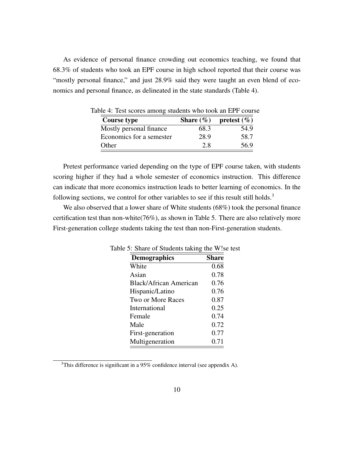As evidence of personal finance crowding out economics teaching, we found that 68.3% of students who took an EPF course in high school reported that their course was "mostly personal finance," and just 28.9% said they were taught an even blend of economics and personal finance, as delineated in the state standards (Table 4).

| Course type              |      | Share $(\% )$ pretest $(\% )$ |
|--------------------------|------|-------------------------------|
| Mostly personal finance  | 68.3 | 54.9                          |
| Economics for a semester | 28.9 | 58.7                          |
| Other                    | 2.8  | 56.9                          |

Table 4: Test scores among students who took an EPF course

Pretest performance varied depending on the type of EPF course taken, with students scoring higher if they had a whole semester of economics instruction. This difference can indicate that more economics instruction leads to better learning of economics. In the following sections, we control for other variables to see if this result still holds.<sup>3</sup>

We also observed that a lower share of White students (68%) took the personal finance certification test than non-white(76%), as shown in Table 5. There are also relatively more First-generation college students taking the test than non-First-generation students.

| re b. Share of Students taking the wise |              |
|-----------------------------------------|--------------|
| <b>Demographics</b>                     | <b>Share</b> |
| White                                   | 0.68         |
| Asian                                   | 0.78         |
| <b>Black/African American</b>           | 0.76         |
| Hispanic/Latino                         | 0.76         |
| Two or More Races                       | 0.87         |
| International                           | 0.25         |
| Female                                  | 0.74         |
| Male                                    | 0.72         |
| First-generation                        | 0.77         |
| Multigeneration                         | 0.71         |

Table 5: Share of Students taking the W!se test

 $3$ This difference is significant in a 95% confidence interval (see appendix A).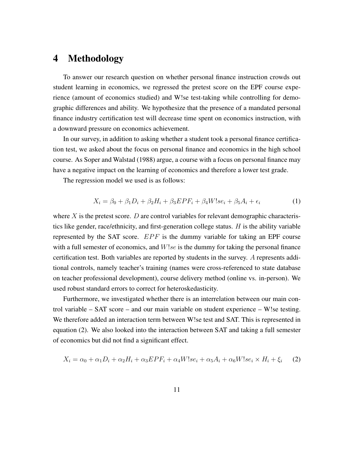# 4 Methodology

To answer our research question on whether personal finance instruction crowds out student learning in economics, we regressed the pretest score on the EPF course experience (amount of economics studied) and W!se test-taking while controlling for demographic differences and ability. We hypothesize that the presence of a mandated personal finance industry certification test will decrease time spent on economics instruction, with a downward pressure on economics achievement.

In our survey, in addition to asking whether a student took a personal finance certification test, we asked about the focus on personal finance and economics in the high school course. As Soper and Walstad (1988) argue, a course with a focus on personal finance may have a negative impact on the learning of economics and therefore a lower test grade.

The regression model we used is as follows:

$$
X_i = \beta_0 + \beta_1 D_i + \beta_2 H_i + \beta_3 EPF_i + \beta_4 W! s e_i + \beta_5 A_i + \epsilon_i \tag{1}
$$

where  $X$  is the pretest score.  $D$  are control variables for relevant demographic characteristics like gender, race/ethnicity, and first-generation college status.  $H$  is the ability variable represented by the SAT score.  $EPF$  is the dummy variable for taking an EPF course with a full semester of economics, and  $W!se$  is the dummy for taking the personal finance certification test. Both variables are reported by students in the survey. A represents additional controls, namely teacher's training (names were cross-referenced to state database on teacher professional development), course delivery method (online vs. in-person). We used robust standard errors to correct for heteroskedasticity.

Furthermore, we investigated whether there is an interrelation between our main control variable – SAT score – and our main variable on student experience – W!se testing. We therefore added an interaction term between W!se test and SAT. This is represented in equation (2). We also looked into the interaction between SAT and taking a full semester of economics but did not find a significant effect.

$$
X_i = \alpha_0 + \alpha_1 D_i + \alpha_2 H_i + \alpha_3 EPF_i + \alpha_4 W! s e_i + \alpha_5 A_i + \alpha_6 W! s e_i \times H_i + \xi_i \tag{2}
$$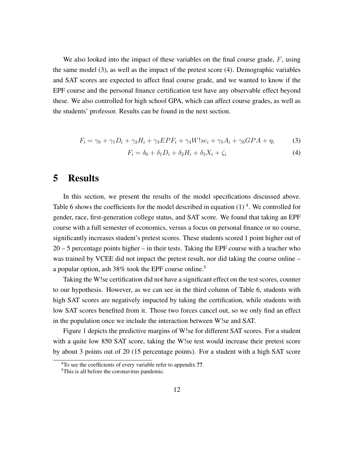We also looked into the impact of these variables on the final course grade,  $F$ , using the same model (3), as well as the impact of the pretest score (4). Demographic variables and SAT scores are expected to affect final course grade, and we wanted to know if the EPF course and the personal finance certification test have any observable effect beyond these. We also controlled for high school GPA, which can affect course grades, as well as the students' professor. Results can be found in the next section.

$$
F_i = \gamma_0 + \gamma_1 D_i + \gamma_2 H_i + \gamma_3 EPF_i + \gamma_4 W! s e_i + \gamma_5 A_i + \gamma_6 GPA + \eta_i \tag{3}
$$

$$
F_i = \delta_0 + \delta_1 D_i + \delta_2 H_i + \delta_3 X_i + \zeta_i \tag{4}
$$

### 5 Results

In this section, we present the results of the model specifications discussed above. Table 6 shows the coefficients for the model described in equation  $(1)^4$ . We controlled for gender, race, first-generation college status, and SAT score. We found that taking an EPF course with a full semester of economics, versus a focus on personal finance or no course, significantly increases student's pretest scores. These students scored 1 point higher out of 20 – 5 percentage points higher – in their tests. Taking the EPF course with a teacher who was trained by VCEE did not impact the pretest result, nor did taking the course online – a popular option, ash 38% took the EPF course online.<sup>5</sup>

Taking the W!se certification did not have a significant effect on the test scores, counter to our hypothesis. However, as we can see in the third column of Table 6, students with high SAT scores are negatively impacted by taking the certification, while students with low SAT scores benefited from it. Those two forces cancel out, so we only find an effect in the population once we include the interaction between W!se and SAT.

Figure 1 depicts the predictive margins of W!se for different SAT scores. For a student with a quite low 850 SAT score, taking the W!se test would increase their pretest score by about 3 points out of 20 (15 percentage points). For a student with a high SAT score

<sup>&</sup>lt;sup>4</sup>To see the coefficients of every variable refer to appendix ??.

<sup>&</sup>lt;sup>5</sup>This is all before the coronavirus pandemic.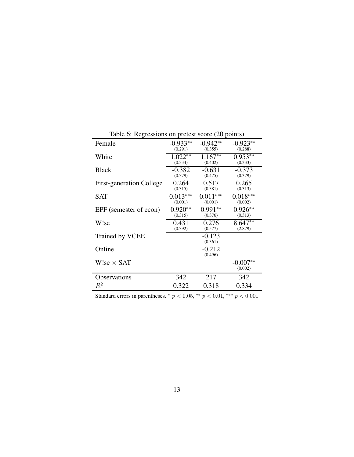|                                 | $\cdots$   |            |            |
|---------------------------------|------------|------------|------------|
| Female                          | $-0.933**$ | $-0.942**$ | $-0.923**$ |
|                                 | (0.291)    | (0.355)    | (0.288)    |
| White                           | $1.022**$  | $1.167**$  | $0.953**$  |
|                                 | (0.334)    | (0.402)    | (0.333)    |
| <b>Black</b>                    | $-0.382$   | $-0.631$   | $-0.373$   |
|                                 | (0.379)    | (0.475)    | (0.379)    |
| <b>First-generation College</b> | 0.264      | 0.517      | 0.265      |
|                                 | (0.315)    | (0.381)    | (0.313)    |
| SAT                             | $0.013***$ | $0.011***$ | $0.018***$ |
|                                 | (0.001)    | (0.001)    | (0.002)    |
| EPF (semester of econ)          | $0.920**$  | $0.991**$  | $0.926**$  |
|                                 | (0.315)    | (0.376)    | (0.313)    |
| W!se                            | 0.431      | 0.276      | $8.647**$  |
|                                 | (0.392)    | (0.577)    | (2.879)    |
| Trained by VCEE                 |            | $-0.123$   |            |
|                                 |            | (0.361)    |            |
| Online                          |            | $-0.212$   |            |
|                                 |            | (0.496)    |            |
| W!se $\times$ SAT               |            |            | $-0.007**$ |
|                                 |            |            | (0.002)    |
| Observations                    | 342        | 217        | 342        |
| $R^2$                           | 0.322      | 0.318      | 0.334      |
|                                 |            |            |            |

Table 6: Regressions on pretest score (20 points)

Standard errors in parentheses.  $* p < 0.05$ ,  $* p < 0.01$ ,  $* * p < 0.001$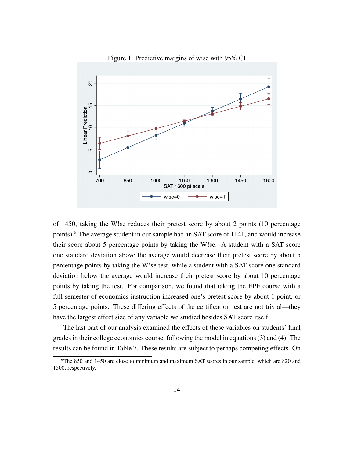

Figure 1: Predictive margins of wise with 95% CI

of 1450, taking the W!se reduces their pretest score by about 2 points (10 percentage points).<sup>6</sup> The average student in our sample had an SAT score of 1141, and would increase their score about 5 percentage points by taking the W!se. A student with a SAT score one standard deviation above the average would decrease their pretest score by about 5 percentage points by taking the W!se test, while a student with a SAT score one standard deviation below the average would increase their pretest score by about 10 percentage points by taking the test. For comparison, we found that taking the EPF course with a full semester of economics instruction increased one's pretest score by about 1 point, or 5 percentage points. These differing effects of the certification test are not trivial—they have the largest effect size of any variable we studied besides SAT score itself.

The last part of our analysis examined the effects of these variables on students' final grades in their college economics course, following the model in equations (3) and (4). The results can be found in Table 7. These results are subject to perhaps competing effects. On

 $6$ The 850 and 1450 are close to minimum and maximum SAT scores in our sample, which are 820 and 1500, respectively.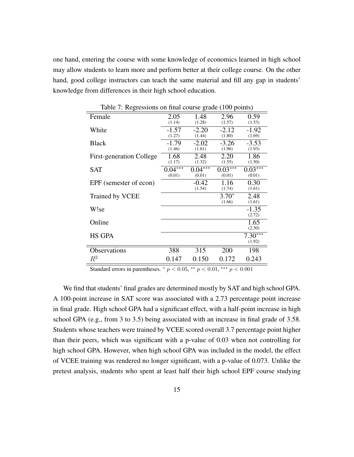one hand, entering the course with some knowledge of economics learned in high school may allow students to learn more and perform better at their college course. On the other hand, good college instructors can teach the same material and fill any gap in students' knowledge from differences in their high school education.

| rable 7. Regressions on final course grade (100 points) |                     |                     |                     |                     |  |  |
|---------------------------------------------------------|---------------------|---------------------|---------------------|---------------------|--|--|
| Female                                                  | 2.05<br>(1.14)      | 1.48<br>(1.28)      | 2.96<br>(1.57)      | 0.59<br>(1.53)      |  |  |
| White                                                   | $-1.57$<br>(1.27)   | $-2.20$<br>(1.44)   | $-2.12$<br>(1.80)   | $-1.92$<br>(1.69)   |  |  |
| <b>Black</b>                                            | $-1.79$<br>(1.46)   | $-2.02$<br>(1.61)   | $-3.26$<br>(1.96)   | $-3.53$<br>(1.93)   |  |  |
| <b>First-generation College</b>                         | 1.68<br>(1.17)      | 2.48<br>(1.32)      | 2.20<br>(1.55)      | 1.86<br>(1.50)      |  |  |
| <b>SAT</b>                                              | $0.04***$<br>(0.01) | $0.04***$<br>(0.01) | $0.03***$<br>(0.01) | $0.03***$<br>(0.01) |  |  |
| EPF (semester of econ)                                  |                     | -0.42<br>(1.54)     | 1.16<br>(1.74)      | 0.30<br>(1.61)      |  |  |
| Trained by VCEE                                         |                     |                     | $3.70*$<br>(1.66)   | 2.48<br>(1.61)      |  |  |
| W!se                                                    |                     |                     |                     | $-1.35$<br>(2.72)   |  |  |
| Online                                                  |                     |                     |                     | 1.65<br>(2.30)      |  |  |
| <b>HS GPA</b>                                           |                     |                     |                     | $7.30***$<br>(1.92) |  |  |
| Observations                                            | 388                 | 315                 | 200                 | 198                 |  |  |
| $\,R^2$                                                 | 0.147               | 0.150               | 0.172               | 0.243               |  |  |

Table 7: Regressions on final course grade (100 points)

Standard errors in parentheses.  $* p < 0.05$ ,  $* p < 0.01$ ,  $* * p < 0.001$ 

We find that students' final grades are determined mostly by SAT and high school GPA. A 100-point increase in SAT score was associated with a 2.73 percentage point increase in final grade. High school GPA had a significant effect, with a half-point increase in high school GPA (e.g., from 3 to 3.5) being associated with an increase in final grade of 3.58. Students whose teachers were trained by VCEE scored overall 3.7 percentage point higher than their peers, which was significant with a p-value of 0.03 when not controlling for high school GPA. However, when high school GPA was included in the model, the effect of VCEE training was rendered no longer significant, with a p-value of 0.073. Unlike the pretest analysis, students who spent at least half their high school EPF course studying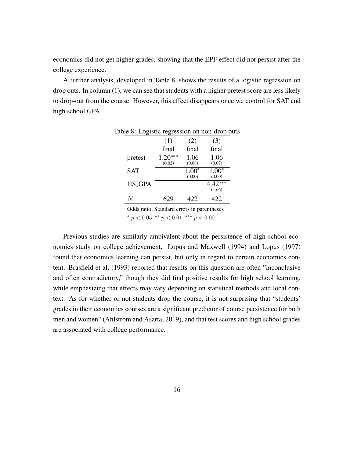economics did not get higher grades, showing that the EPF effect did not persist after the college experience.

A further analysis, developed in Table 8, shows the results of a logistic regression on drop outs. In column (1), we can see that students with a higher pretest score are less likely to drop-out from the course. However, this effect disappears once we control for SAT and high school GPA.

|               | (1)                    | (2)               | (3)                 |
|---------------|------------------------|-------------------|---------------------|
|               | final                  | final             | final               |
| pretest       | )***<br>1.20<br>(0.02) | 1.06<br>(0.08)    | 1.06<br>(0.07)      |
| <b>SAT</b>    |                        | $1.00*$<br>(0.00) | $1.00*$<br>(0.00)   |
| <b>HS_GPA</b> |                        |                   | $4.42***$<br>(1.66) |
|               |                        | 422               | .22                 |

Table 8: Logistic regression on non-drop outs

Odds ratio; Standard errors in parentheses \*  $p < 0.05$ , \*\*  $p < 0.01$ , \*\*\*  $p < 0.001$ 

Previous studies are similarly ambivalent about the persistence of high school economics study on college achievement. Lopus and Maxwell (1994) and Lopus (1997) found that economics learning can persist, but only in regard to certain economics content. Brasfield et al. (1993) reported that results on this question are often "inconclusive and often contradictory," though they did find positive results for high school learning, while emphasizing that effects may vary depending on statistical methods and local context. As for whether or not students drop the course, it is not surprising that "students' grades in their economics courses are a significant predictor of course persistence for both men and women" (Ahlstrom and Asarta, 2019), and that test scores and high school grades are associated with college performance.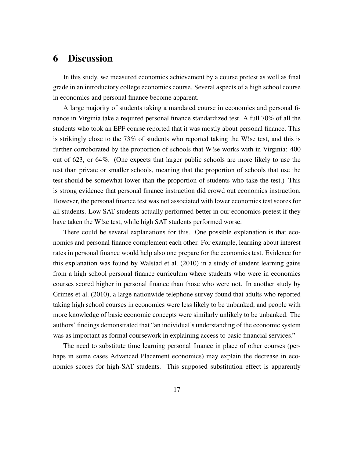# 6 Discussion

In this study, we measured economics achievement by a course pretest as well as final grade in an introductory college economics course. Several aspects of a high school course in economics and personal finance become apparent.

A large majority of students taking a mandated course in economics and personal finance in Virginia take a required personal finance standardized test. A full 70% of all the students who took an EPF course reported that it was mostly about personal finance. This is strikingly close to the 73% of students who reported taking the W!se test, and this is further corroborated by the proportion of schools that W!se works with in Virginia: 400 out of 623, or 64%. (One expects that larger public schools are more likely to use the test than private or smaller schools, meaning that the proportion of schools that use the test should be somewhat lower than the proportion of students who take the test.) This is strong evidence that personal finance instruction did crowd out economics instruction. However, the personal finance test was not associated with lower economics test scores for all students. Low SAT students actually performed better in our economics pretest if they have taken the W!se test, while high SAT students performed worse.

There could be several explanations for this. One possible explanation is that economics and personal finance complement each other. For example, learning about interest rates in personal finance would help also one prepare for the economics test. Evidence for this explanation was found by Walstad et al. (2010) in a study of student learning gains from a high school personal finance curriculum where students who were in economics courses scored higher in personal finance than those who were not. In another study by Grimes et al. (2010), a large nationwide telephone survey found that adults who reported taking high school courses in economics were less likely to be unbanked, and people with more knowledge of basic economic concepts were similarly unlikely to be unbanked. The authors' findings demonstrated that "an individual's understanding of the economic system was as important as formal coursework in explaining access to basic financial services."

The need to substitute time learning personal finance in place of other courses (perhaps in some cases Advanced Placement economics) may explain the decrease in economics scores for high-SAT students. This supposed substitution effect is apparently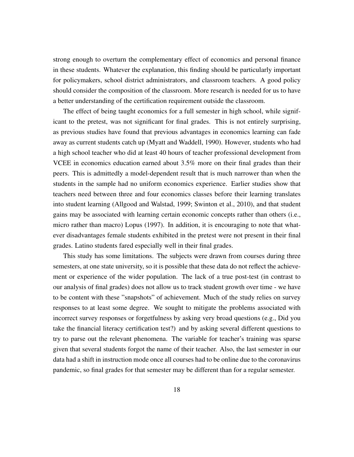strong enough to overturn the complementary effect of economics and personal finance in these students. Whatever the explanation, this finding should be particularly important for policymakers, school district administrators, and classroom teachers. A good policy should consider the composition of the classroom. More research is needed for us to have a better understanding of the certification requirement outside the classroom.

The effect of being taught economics for a full semester in high school, while significant to the pretest, was not significant for final grades. This is not entirely surprising, as previous studies have found that previous advantages in economics learning can fade away as current students catch up (Myatt and Waddell, 1990). However, students who had a high school teacher who did at least 40 hours of teacher professional development from VCEE in economics education earned about 3.5% more on their final grades than their peers. This is admittedly a model-dependent result that is much narrower than when the students in the sample had no uniform economics experience. Earlier studies show that teachers need between three and four economics classes before their learning translates into student learning (Allgood and Walstad, 1999; Swinton et al., 2010), and that student gains may be associated with learning certain economic concepts rather than others (i.e., micro rather than macro) Lopus (1997). In addition, it is encouraging to note that whatever disadvantages female students exhibited in the pretest were not present in their final grades. Latino students fared especially well in their final grades.

This study has some limitations. The subjects were drawn from courses during three semesters, at one state university, so it is possible that these data do not reflect the achievement or experience of the wider population. The lack of a true post-test (in contrast to our analysis of final grades) does not allow us to track student growth over time - we have to be content with these "snapshots" of achievement. Much of the study relies on survey responses to at least some degree. We sought to mitigate the problems associated with incorrect survey responses or forgetfulness by asking very broad questions (e.g., Did you take the financial literacy certification test?) and by asking several different questions to try to parse out the relevant phenomena. The variable for teacher's training was sparse given that several students forgot the name of their teacher. Also, the last semester in our data had a shift in instruction mode once all courses had to be online due to the coronavirus pandemic, so final grades for that semester may be different than for a regular semester.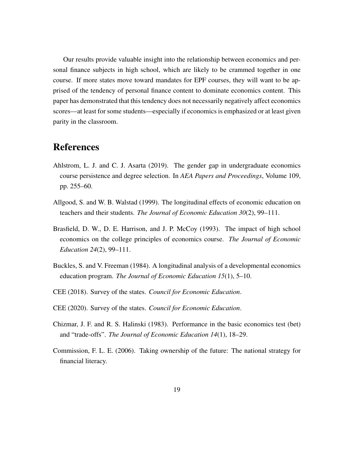Our results provide valuable insight into the relationship between economics and personal finance subjects in high school, which are likely to be crammed together in one course. If more states move toward mandates for EPF courses, they will want to be apprised of the tendency of personal finance content to dominate economics content. This paper has demonstrated that this tendency does not necessarily negatively affect economics scores—at least for some students—especially if economics is emphasized or at least given parity in the classroom.

### References

- Ahlstrom, L. J. and C. J. Asarta (2019). The gender gap in undergraduate economics course persistence and degree selection. In *AEA Papers and Proceedings*, Volume 109, pp. 255–60.
- Allgood, S. and W. B. Walstad (1999). The longitudinal effects of economic education on teachers and their students. *The Journal of Economic Education 30*(2), 99–111.
- Brasfield, D. W., D. E. Harrison, and J. P. McCoy (1993). The impact of high school economics on the college principles of economics course. *The Journal of Economic Education 24*(2), 99–111.
- Buckles, S. and V. Freeman (1984). A longitudinal analysis of a developmental economics education program. *The Journal of Economic Education 15*(1), 5–10.
- CEE (2018). Survey of the states. *Council for Economic Education*.
- CEE (2020). Survey of the states. *Council for Economic Education*.
- Chizmar, J. F. and R. S. Halinski (1983). Performance in the basic economics test (bet) and "trade-offs". *The Journal of Economic Education 14*(1), 18–29.
- Commission, F. L. E. (2006). Taking ownership of the future: The national strategy for financial literacy.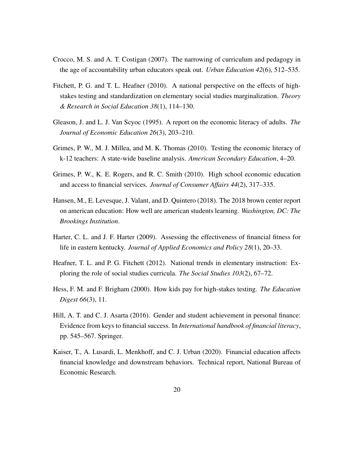- Crocco, M. S. and A. T. Costigan (2007). The narrowing of curriculum and pedagogy in the age of accountability urban educators speak out. *Urban Education 42*(6), 512–535.
- Fitchett, P. G. and T. L. Heafner (2010). A national perspective on the effects of highstakes testing and standardization on elementary social studies marginalization. *Theory & Research in Social Education 38*(1), 114–130.
- Gleason, J. and L. J. Van Scyoc (1995). A report on the economic literacy of adults. *The Journal of Economic Education 26*(3), 203–210.
- Grimes, P. W., M. J. Millea, and M. K. Thomas (2010). Testing the economic literacy of k-12 teachers: A state-wide baseline analysis. *American Secondary Education*, 4–20.
- Grimes, P. W., K. E. Rogers, and R. C. Smith (2010). High school economic education and access to financial services. *Journal of Consumer Affairs 44*(2), 317–335.
- Hansen, M., E. Levesque, J. Valant, and D. Quintero (2018). The 2018 brown center report on american education: How well are american students learning. *Washington, DC: The Brookings Institution*.
- Harter, C. L. and J. F. Harter (2009). Assessing the effectiveness of financial fitness for life in eastern kentucky. *Journal of Applied Economics and Policy 28*(1), 20–33.
- Heafner, T. L. and P. G. Fitchett (2012). National trends in elementary instruction: Exploring the role of social studies curricula. *The Social Studies 103*(2), 67–72.
- Hess, F. M. and F. Brigham (2000). How kids pay for high-stakes testing. *The Education Digest 66*(3), 11.
- Hill, A. T. and C. J. Asarta (2016). Gender and student achievement in personal finance: Evidence from keys to financial success. In *International handbook of financial literacy*, pp. 545–567. Springer.
- Kaiser, T., A. Lusardi, L. Menkhoff, and C. J. Urban (2020). Financial education affects financial knowledge and downstream behaviors. Technical report, National Bureau of Economic Research.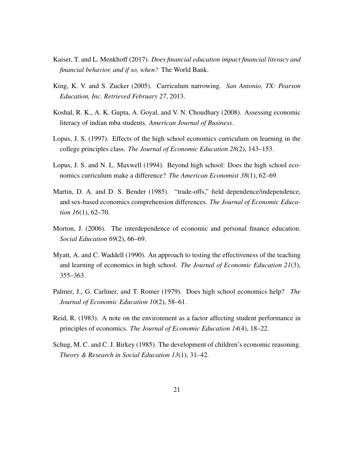- Kaiser, T. and L. Menkhoff (2017). *Does financial education impact financial literacy and financial behavior, and if so, when?* The World Bank.
- King, K. V. and S. Zucker (2005). Curriculum narrowing. *San Antonio, TX: Pearson Education, Inc. Retrieved February 27*, 2013.
- Koshal, R. K., A. K. Gupta, A. Goyal, and V. N. Choudhary (2008). Assessing economic literacy of indian mba students. *American Journal of Business*.
- Lopus, J. S. (1997). Effects of the high school economics curriculum on learning in the college principles class. *The Journal of Economic Education 28*(2), 143–153.
- Lopus, J. S. and N. L. Maxwell (1994). Beyond high school: Does the high school economics curriculum make a difference? *The American Economist 38*(1), 62–69.
- Martin, D. A. and D. S. Bender (1985). "trade-offs," field dependence/independence, and sex-based economics comprehension differences. *The Journal of Economic Education 16*(1), 62–70.
- Morton, J. (2006). The interdependence of economic and personal finance education. *Social Education 69*(2), 66–69.
- Myatt, A. and C. Waddell (1990). An approach to testing the effectiveness of the teaching and learning of economics in high school. *The Journal of Economic Education 21*(3), 355–363.
- Palmer, J., G. Carliner, and T. Romer (1979). Does high school economics help? *The Journal of Economic Education 10*(2), 58–61.
- Reid, R. (1983). A note on the environment as a factor affecting student performance in principles of economics. *The Journal of Economic Education 14*(4), 18–22.
- Schug, M. C. and C. J. Birkey (1985). The development of children's economic reasoning. *Theory & Research in Social Education 13*(1), 31–42.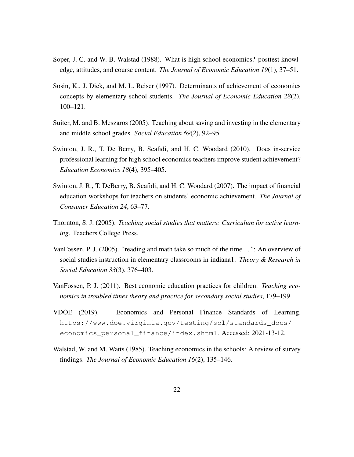- Soper, J. C. and W. B. Walstad (1988). What is high school economics? posttest knowledge, attitudes, and course content. *The Journal of Economic Education 19*(1), 37–51.
- Sosin, K., J. Dick, and M. L. Reiser (1997). Determinants of achievement of economics concepts by elementary school students. *The Journal of Economic Education 28*(2), 100–121.
- Suiter, M. and B. Meszaros (2005). Teaching about saving and investing in the elementary and middle school grades. *Social Education 69*(2), 92–95.
- Swinton, J. R., T. De Berry, B. Scafidi, and H. C. Woodard (2010). Does in-service professional learning for high school economics teachers improve student achievement? *Education Economics 18*(4), 395–405.
- Swinton, J. R., T. DeBerry, B. Scafidi, and H. C. Woodard (2007). The impact of financial education workshops for teachers on students' economic achievement. *The Journal of Consumer Education 24*, 63–77.
- Thornton, S. J. (2005). *Teaching social studies that matters: Curriculum for active learning*. Teachers College Press.
- VanFossen, P. J. (2005). "reading and math take so much of the time. . . ": An overview of social studies instruction in elementary classrooms in indiana1. *Theory & Research in Social Education 33*(3), 376–403.
- VanFossen, P. J. (2011). Best economic education practices for children. *Teaching economics in troubled times theory and practice for secondary social studies*, 179–199.
- VDOE (2019). Economics and Personal Finance Standards of Learning. https://www.doe.virginia.gov/testing/sol/standards\_docs/ economics\_personal\_finance/index.shtml. Accessed: 2021-13-12.
- Walstad, W. and M. Watts (1985). Teaching economics in the schools: A review of survey findings. *The Journal of Economic Education 16*(2), 135–146.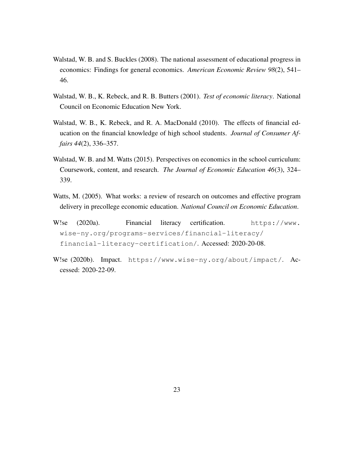- Walstad, W. B. and S. Buckles (2008). The national assessment of educational progress in economics: Findings for general economics. *American Economic Review 98*(2), 541– 46.
- Walstad, W. B., K. Rebeck, and R. B. Butters (2001). *Test of economic literacy*. National Council on Economic Education New York.
- Walstad, W. B., K. Rebeck, and R. A. MacDonald (2010). The effects of financial education on the financial knowledge of high school students. *Journal of Consumer Affairs 44*(2), 336–357.
- Walstad, W. B. and M. Watts (2015). Perspectives on economics in the school curriculum: Coursework, content, and research. *The Journal of Economic Education 46*(3), 324– 339.
- Watts, M. (2005). What works: a review of research on outcomes and effective program delivery in precollege economic education. *National Council on Economic Education*.
- W!se (2020a). Financial literacy certification. https://www. wise-ny.org/programs-services/financial-literacy/ financial-literacy-certification/. Accessed: 2020-20-08.
- W!se (2020b). Impact. https://www.wise-ny.org/about/impact/. Accessed: 2020-22-09.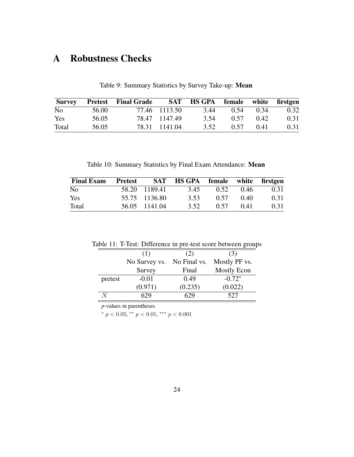# A Robustness Checks

|       |       | <b>Survey</b> Pretest Final Grade |               | SAT HS GPA female white firstgen |      |           |      |
|-------|-------|-----------------------------------|---------------|----------------------------------|------|-----------|------|
| No    | 56.00 |                                   | 77.46 1113.50 | 3.44                             |      | 0.54 0.34 | 0.32 |
| Yes   | 56.05 |                                   | 78.47 1147.49 | 3.54                             | 0.57 | 0.42      | 0.31 |
| Total | 56.05 |                                   | 78.31 1141.04 | 3.52                             | 0.57 | 0.41      | 0.31 |

Table 9: Summary Statistics by Survey Take-up: Mean

Table 10: Summary Statistics by Final Exam Attendance: Mean

| <b>Final Exam</b> | Pretest |               | SAT HS GPA female white firstgen |      |        |      |
|-------------------|---------|---------------|----------------------------------|------|--------|------|
| N <sub>0</sub>    |         | 58.20 1189.41 | 3.45                             | 0.52 | 0.46   | 0.31 |
| Yes               |         | 55.75 1136.80 | 3.53                             | 0.57 | 0.40   | 0.31 |
| Total             |         | 56.05 1141.04 | 3.52                             | 0.57 | (0.41) | 0.31 |

| Table 11: T-Test: Difference in pre-test score between groups |  |  |
|---------------------------------------------------------------|--|--|
|---------------------------------------------------------------|--|--|

|         | (1)           | (2)          | (3)                |
|---------|---------------|--------------|--------------------|
|         | No Survey vs. | No Final vs. | Mostly PF vs.      |
|         | Survey        | Final        | <b>Mostly Econ</b> |
| pretest | $-0.01$       | 0.49         | $-0.72*$           |
|         | (0.971)       | (0.235)      | (0.022)            |
|         |               |              | 527                |

*p*-values in parentheses

\*  $p < 0.05$ , \*\*  $p < 0.01$ , \*\*\*  $p < 0.001$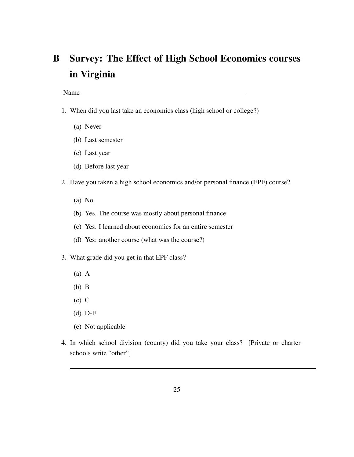# B Survey: The Effect of High School Economics courses in Virginia

Name

- 1. When did you last take an economics class (high school or college?)
	- (a) Never
	- (b) Last semester
	- (c) Last year
	- (d) Before last year
- 2. Have you taken a high school economics and/or personal finance (EPF) course?
	- (a) No.
	- (b) Yes. The course was mostly about personal finance
	- (c) Yes. I learned about economics for an entire semester
	- (d) Yes: another course (what was the course?)
- 3. What grade did you get in that EPF class?
	- (a) A
	- (b) B
	- (c) C
	- (d) D-F
	- (e) Not applicable
- 4. In which school division (county) did you take your class? [Private or charter schools write "other"]